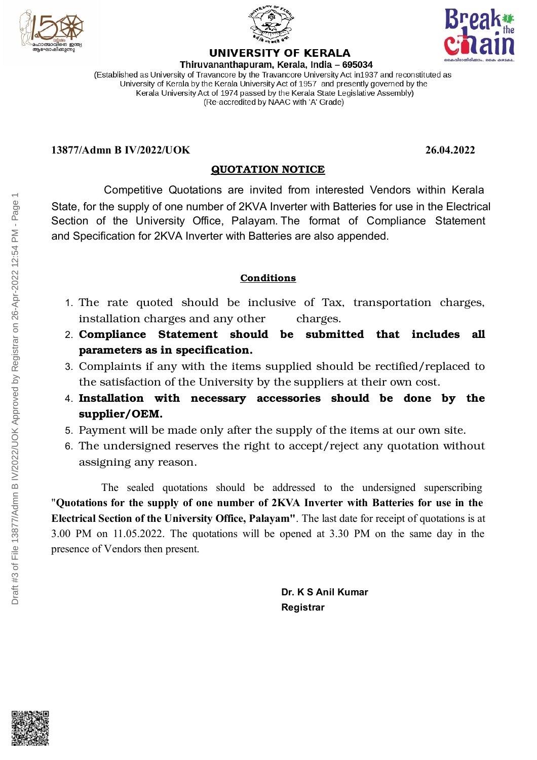



Thiruvananthapuram, Kerala, India - 695034 (Established as University of Travancore by the Travancore University Act in 1937 and reconstituted as University of Kerala by the Kerala University Act of 1957 and presently governed by the Kerala University Act of 1974 passed by the Kerala State Legislative Assembly) (Re-accredited by NAAC with 'A' Grade)

**UNIVERSITY OF KERALA** 

#### **13877/Admn B IV/2022/UOK 26.04.2022**

# **QUOTATION NOTICE**

Competitive Quotations are invited from interested Vendors within Kerala Section of the University Office, Palayam. The format of Compliance Statement State, for the supply of one number of 2KVA Inverter with Batteries for use in the Electrical and Specification for 2KVA Inverter with Batteries are also appended.

## **Conditions**

- 1. The rate quoted should be inclusive of Tax, transportation charges, installation charges and any other charges.
- 2. **Compliance Statement should be submitted that includes all parameters as in specification.**
- 3. Complaints if any with the items supplied should be rectified/replaced to the satisfaction of the University by the suppliers at their own cost.
- 4. **Installation with necessary accessories should be done by the supplier/OEM.**
- 5. Payment will be made only after the supply of the items at our own site.
- 6. The undersigned reserves the right to accept/reject any quotation without assigning any reason.

The sealed quotations should be addressed to the undersigned superscribing "**Quotations for the supply of one number of 2KVA Inverter with Batteries for use in the Electrical Section of the University Office, Palayam"**. The last date for receipt of quotations is at 3.00 PM on 11.05.2022. The quotations will be opened at 3.30 PM on the same day in the presence of Vendors then present.

> **Dr. K S Anil Kumar Registrar**

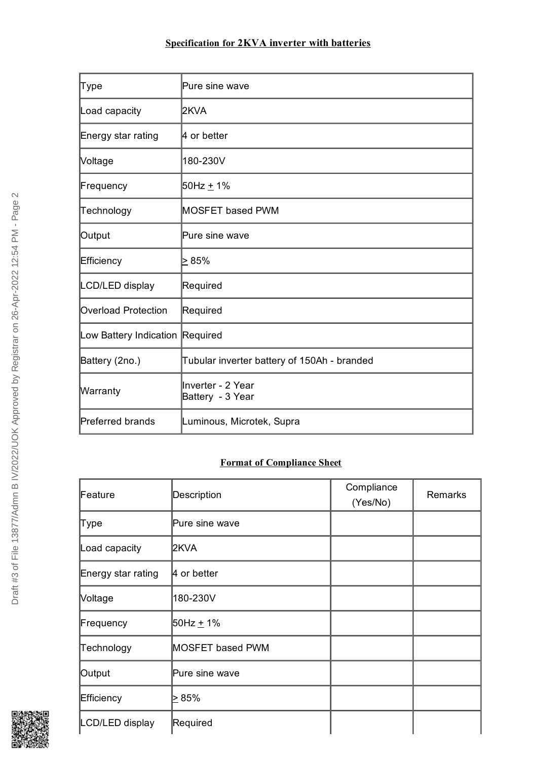### **Specification for 2KVA inverter with batteries**

| Type                            | Pure sine wave                              |
|---------------------------------|---------------------------------------------|
| Load capacity                   | 2KVA                                        |
| Energy star rating              | 4 or better                                 |
| Voltage                         | 180-230V                                    |
| Frequency                       | 50Hz <u>+</u> 1%                            |
| Technology                      | MOSFET based PWM                            |
| Output                          | Pure sine wave                              |
| Efficiency                      | ⊳ 85%                                       |
| LCD/LED display                 | Required                                    |
| <b>Overload Protection</b>      | Required                                    |
| Low Battery Indication Required |                                             |
| Battery (2no.)                  | Tubular inverter battery of 150Ah - branded |
| Warranty                        | Inverter - 2 Year<br>Battery - 3 Year       |
| <b>Preferred brands</b>         | Luminous, Microtek, Supra                   |

# **Format of Compliance Sheet**

| Feature            | Description             | Compliance<br>(Yes/No) | <b>Remarks</b> |
|--------------------|-------------------------|------------------------|----------------|
| Type               | Pure sine wave          |                        |                |
| Load capacity      | 2KVA                    |                        |                |
| Energy star rating | $\vert$ 4 or better     |                        |                |
| Voltage            | 180-230V                |                        |                |
| Frequency          | 50Hz <u>+</u> 1%        |                        |                |
| Technology         | <b>MOSFET based PWM</b> |                        |                |
| Output             | Pure sine wave          |                        |                |
| Efficiency         | ⊵ 85%                   |                        |                |
| LCD/LED display    | Required                |                        |                |